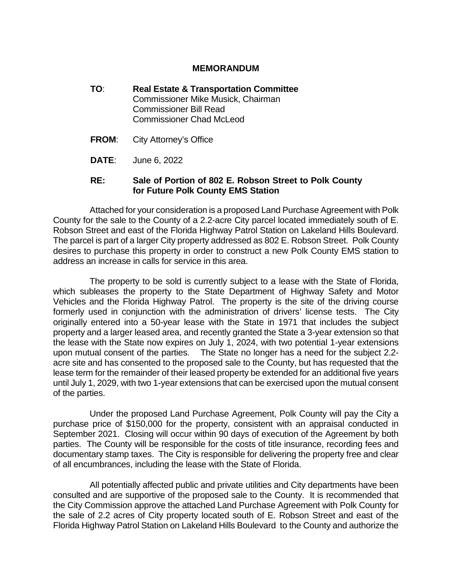#### **MEMORANDUM**

- **TO**: **Real Estate & Transportation Committee** Commissioner Mike Musick, Chairman Commissioner Bill Read Commissioner Chad McLeod
- **FROM**: City Attorney's Office
- **DATE**: June 6, 2022

#### **RE: Sale of Portion of 802 E. Robson Street to Polk County for Future Polk County EMS Station**

Attached for your consideration is a proposed Land Purchase Agreement with Polk County for the sale to the County of a 2.2-acre City parcel located immediately south of E. Robson Street and east of the Florida Highway Patrol Station on Lakeland Hills Boulevard. The parcel is part of a larger City property addressed as 802 E. Robson Street. Polk County desires to purchase this property in order to construct a new Polk County EMS station to address an increase in calls for service in this area.

The property to be sold is currently subject to a lease with the State of Florida, which subleases the property to the State Department of Highway Safety and Motor Vehicles and the Florida Highway Patrol. The property is the site of the driving course formerly used in conjunction with the administration of drivers' license tests. The City originally entered into a 50-year lease with the State in 1971 that includes the subject property and a larger leased area, and recently granted the State a 3-year extension so that the lease with the State now expires on July 1, 2024, with two potential 1-year extensions upon mutual consent of the parties. The State no longer has a need for the subject 2.2 acre site and has consented to the proposed sale to the County, but has requested that the lease term for the remainder of their leased property be extended for an additional five years until July 1, 2029, with two 1-year extensions that can be exercised upon the mutual consent of the parties.

Under the proposed Land Purchase Agreement, Polk County will pay the City a purchase price of \$150,000 for the property, consistent with an appraisal conducted in September 2021. Closing will occur within 90 days of execution of the Agreement by both parties. The County will be responsible for the costs of title insurance, recording fees and documentary stamp taxes. The City is responsible for delivering the property free and clear of all encumbrances, including the lease with the State of Florida.

All potentially affected public and private utilities and City departments have been consulted and are supportive of the proposed sale to the County. It is recommended that the City Commission approve the attached Land Purchase Agreement with Polk County for the sale of 2.2 acres of City property located south of E. Robson Street and east of the Florida Highway Patrol Station on Lakeland Hills Boulevard to the County and authorize the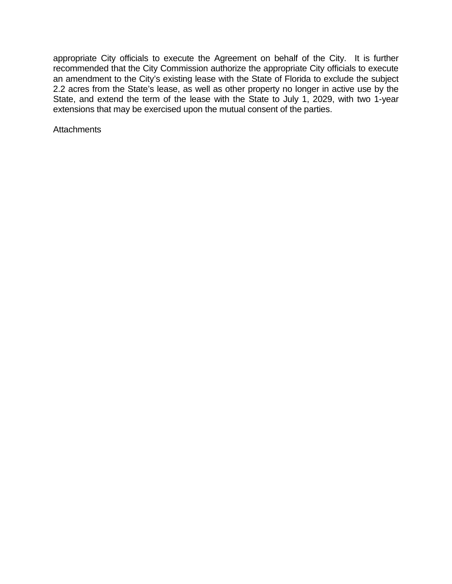appropriate City officials to execute the Agreement on behalf of the City. It is further recommended that the City Commission authorize the appropriate City officials to execute an amendment to the City's existing lease with the State of Florida to exclude the subject 2.2 acres from the State's lease, as well as other property no longer in active use by the State, and extend the term of the lease with the State to July 1, 2029, with two 1-year extensions that may be exercised upon the mutual consent of the parties.

**Attachments**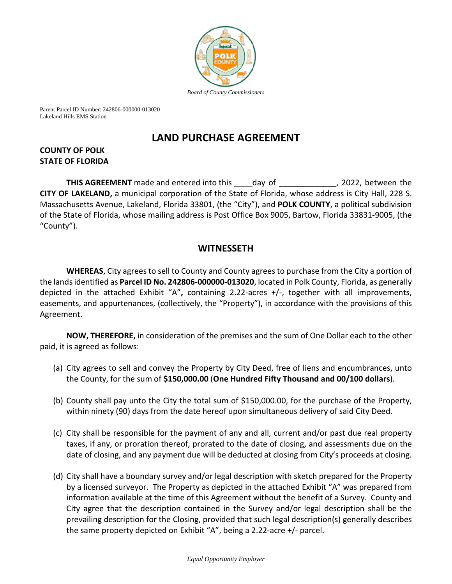

Parent Parcel ID Number: 242806-000000-013020 Lakeland Hills EMS Station

# **LAND PURCHASE AGREEMENT**

## **COUNTY OF POLK STATE OF FLORIDA**

**THIS AGREEMENT** made and entered into this \_\_\_\_day of \_\_\_\_\_\_\_\_\_\_\_\_, 2022, between the **CITY OF LAKELAND,** a municipal corporation of the State of Florida, whose address is City Hall, 228 S. Massachusetts Avenue, Lakeland, Florida 33801, (the "City"), and **POLK COUNTY**, a political subdivision of the State of Florida, whose mailing address is Post Office Box 9005, Bartow, Florida 33831-9005, (the "County").

## **WITNESSETH**

**WHEREAS**, City agrees to sell to County and County agrees to purchase from the City a portion of the lands identified as **Parcel ID No. 242806-000000-013020**, located in Polk County, Florida, as generally depicted in the attached Exhibit "A"**,** containing 2.22-acres +/-, together with all improvements, easements, and appurtenances, (collectively, the "Property"), in accordance with the provisions of this Agreement.

**NOW, THEREFORE,** in consideration of the premises and the sum of One Dollar each to the other paid, it is agreed as follows:

- (a) City agrees to sell and convey the Property by City Deed, free of liens and encumbrances, unto the County, for the sum of **\$150,000.00** (**One Hundred Fifty Thousand and 00/100 dollars**).
- (b) County shall pay unto the City the total sum of \$150,000.00, for the purchase of the Property, within ninety (90) days from the date hereof upon simultaneous delivery of said City Deed.
- (c) City shall be responsible for the payment of any and all, current and/or past due real property taxes, if any, or proration thereof, prorated to the date of closing, and assessments due on the date of closing, and any payment due will be deducted at closing from City's proceeds at closing.
- (d) City shall have a boundary survey and/or legal description with sketch prepared for the Property by a licensed surveyor. The Property as depicted in the attached Exhibit "A" was prepared from information available at the time of this Agreement without the benefit of a Survey. County and City agree that the description contained in the Survey and/or legal description shall be the prevailing description for the Closing, provided that such legal description(s) generally describes the same property depicted on Exhibit "A", being a 2.22-acre +/- parcel.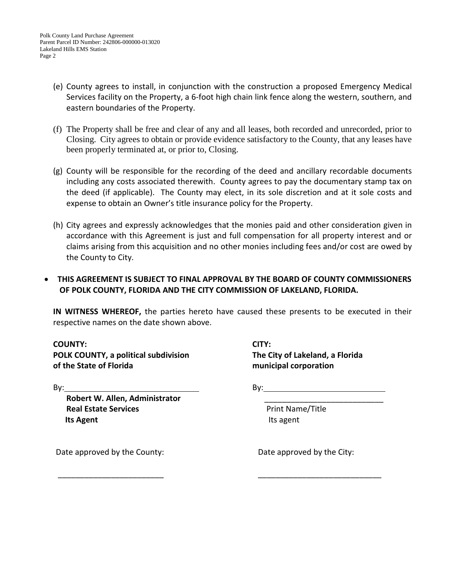- (e) County agrees to install, in conjunction with the construction a proposed Emergency Medical Services facility on the Property, a 6-foot high chain link fence along the western, southern, and eastern boundaries of the Property.
- (f) The Property shall be free and clear of any and all leases, both recorded and unrecorded, prior to Closing. City agrees to obtain or provide evidence satisfactory to the County, that any leases have been properly terminated at, or prior to, Closing.
- (g) County will be responsible for the recording of the deed and ancillary recordable documents including any costs associated therewith. County agrees to pay the documentary stamp tax on the deed (if applicable). The County may elect, in its sole discretion and at it sole costs and expense to obtain an Owner's title insurance policy for the Property.
- (h) City agrees and expressly acknowledges that the monies paid and other consideration given in accordance with this Agreement is just and full compensation for all property interest and or claims arising from this acquisition and no other monies including fees and/or cost are owed by the County to City.

## • **THIS AGREEMENT IS SUBJECT TO FINAL APPROVAL BY THE BOARD OF COUNTY COMMISSIONERS OF POLK COUNTY, FLORIDA AND THE CITY COMMISSION OF LAKELAND, FLORIDA.**

**IN WITNESS WHEREOF,** the parties hereto have caused these presents to be executed in their respective names on the date shown above.

 $\overline{\phantom{a}}$  , and the contract of the contract of the contract of the contract of the contract of the contract of the contract of the contract of the contract of the contract of the contract of the contract of the contrac

**COUNTY: CITY: POLK COUNTY, a political subdivision The City of Lakeland, a Florida of the State of Florida municipal corporation**

By: By:

**Robert W. Allen, Administrator** \_\_\_\_\_\_\_\_\_\_\_\_\_\_\_\_\_\_\_\_\_\_\_\_\_\_\_ **Real Estate Services Print Name/Title Its Agent Its Agent Its Agent** 

Date approved by the County: Date approved by the City: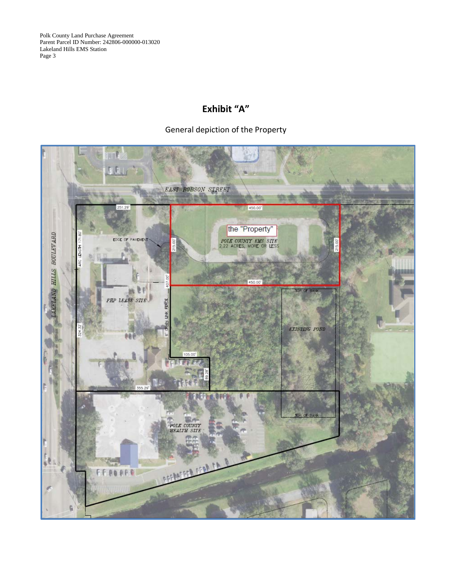Polk County Land Purchase Agreement Parent Parcel ID Number: 242806-000000-013020 Lakeland Hills EMS Station Page 3

## **Exhibit "A"**

## General depiction of the Property

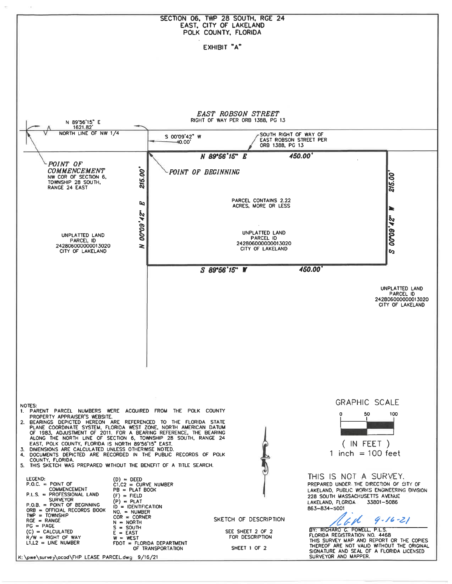